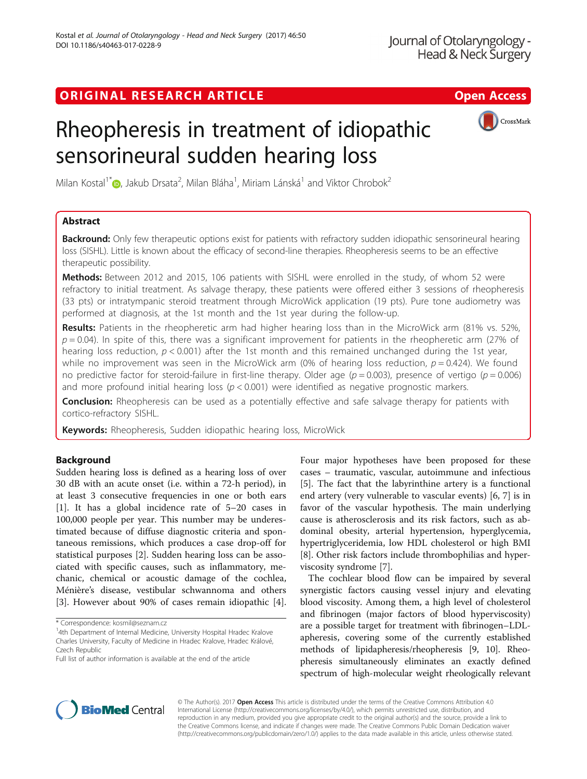## ORIGINAL RESEARCH ARTICLE **External of the Contract Open Access**



# Rheopheresis in treatment of idiopathic sensorineural sudden hearing loss

Milan Kostal $1^*$  [,](http://orcid.org/0000-0002-0686-5852) Jakub Drsata<sup>2</sup>, Milan Bláha<sup>1</sup>, Miriam Lánská $^1$  and Viktor Chrobok $^2$ 

## Abstract

**Backround:** Only few therapeutic options exist for patients with refractory sudden idiopathic sensorineural hearing loss (SISHL). Little is known about the efficacy of second-line therapies. Rheopheresis seems to be an effective therapeutic possibility.

**Methods:** Between 2012 and 2015, 106 patients with SISHL were enrolled in the study, of whom 52 were refractory to initial treatment. As salvage therapy, these patients were offered either 3 sessions of rheopheresis (33 pts) or intratympanic steroid treatment through MicroWick application (19 pts). Pure tone audiometry was performed at diagnosis, at the 1st month and the 1st year during the follow-up.

Results: Patients in the rheopheretic arm had higher hearing loss than in the MicroWick arm (81% vs. 52%,  $p = 0.04$ ). In spite of this, there was a significant improvement for patients in the rheopheretic arm (27% of hearing loss reduction,  $p < 0.001$ ) after the 1st month and this remained unchanged during the 1st year, while no improvement was seen in the MicroWick arm (0% of hearing loss reduction,  $p = 0.424$ ). We found no predictive factor for steroid-failure in first-line therapy. Older age ( $p = 0.003$ ), presence of vertigo ( $p = 0.006$ ) and more profound initial hearing loss ( $p < 0.001$ ) were identified as negative prognostic markers.

**Conclusion:** Rheopheresis can be used as a potentially effective and safe salvage therapy for patients with cortico-refractory SISHL.

Keywords: Rheopheresis, Sudden idiopathic hearing loss, MicroWick

## Background

Sudden hearing loss is defined as a hearing loss of over 30 dB with an acute onset (i.e. within a 72-h period), in at least 3 consecutive frequencies in one or both ears [[1\]](#page-5-0). It has a global incidence rate of 5–20 cases in 100,000 people per year. This number may be underestimated because of diffuse diagnostic criteria and spontaneous remissions, which produces a case drop-off for statistical purposes [[2\]](#page-5-0). Sudden hearing loss can be associated with specific causes, such as inflammatory, mechanic, chemical or acoustic damage of the cochlea, Ménière's disease, vestibular schwannoma and others [[3\]](#page-5-0). However about 90% of cases remain idiopathic [\[4](#page-5-0)].

Four major hypotheses have been proposed for these cases – traumatic, vascular, autoimmune and infectious [[5\]](#page-6-0). The fact that the labyrinthine artery is a functional end artery (very vulnerable to vascular events) [\[6](#page-6-0), [7](#page-6-0)] is in favor of the vascular hypothesis. The main underlying cause is atherosclerosis and its risk factors, such as abdominal obesity, arterial hypertension, hyperglycemia, hypertriglyceridemia, low HDL cholesterol or high BMI [[8\]](#page-6-0). Other risk factors include thrombophilias and hyperviscosity syndrome [\[7](#page-6-0)].

The cochlear blood flow can be impaired by several synergistic factors causing vessel injury and elevating blood viscosity. Among them, a high level of cholesterol and fibrinogen (major factors of blood hyperviscosity) are a possible target for treatment with fibrinogen–LDLapheresis, covering some of the currently established methods of lipidapheresis/rheopheresis [\[9](#page-6-0), [10](#page-6-0)]. Rheopheresis simultaneously eliminates an exactly defined spectrum of high-molecular weight rheologically relevant



© The Author(s). 2017 **Open Access** This article is distributed under the terms of the Creative Commons Attribution 4.0 International License [\(http://creativecommons.org/licenses/by/4.0/](http://creativecommons.org/licenses/by/4.0/)), which permits unrestricted use, distribution, and reproduction in any medium, provided you give appropriate credit to the original author(s) and the source, provide a link to the Creative Commons license, and indicate if changes were made. The Creative Commons Public Domain Dedication waiver [\(http://creativecommons.org/publicdomain/zero/1.0/](http://creativecommons.org/publicdomain/zero/1.0/)) applies to the data made available in this article, unless otherwise stated.

<sup>\*</sup> Correspondence: [kosmil@seznam.cz](mailto:kosmil@seznam.cz) <sup>1</sup>

<sup>&</sup>lt;sup>1</sup>4th Department of Internal Medicine, University Hospital Hradec Kralove Charles University, Faculty of Medicine in Hradec Kralove, Hradec Králové, Czech Republic

Full list of author information is available at the end of the article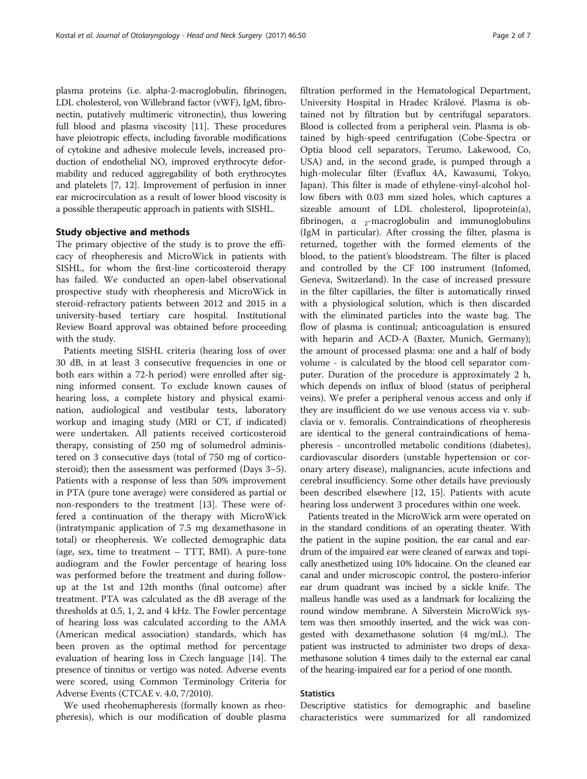plasma proteins (i.e. alpha-2-macroglobulin, fibrinogen, LDL cholesterol, von Willebrand factor (vWF), IgM, fibronectin, putatively multimeric vitronectin), thus lowering full blood and plasma viscosity [\[11\]](#page-6-0). These procedures have pleiotropic effects, including favorable modifications of cytokine and adhesive molecule levels, increased production of endothelial NO, improved erythrocyte deformability and reduced aggregability of both erythrocytes and platelets [[7](#page-6-0), [12](#page-6-0)]. Improvement of perfusion in inner ear microcirculation as a result of lower blood viscosity is a possible therapeutic approach in patients with SISHL.

#### Study objective and methods

The primary objective of the study is to prove the efficacy of rheopheresis and MicroWick in patients with SISHL, for whom the first-line corticosteroid therapy has failed. We conducted an open-label observational prospective study with rheopheresis and MicroWick in steroid-refractory patients between 2012 and 2015 in a university-based tertiary care hospital. Institutional Review Board approval was obtained before proceeding with the study.

Patients meeting SISHL criteria (hearing loss of over 30 dB, in at least 3 consecutive frequencies in one or both ears within a 72-h period) were enrolled after signing informed consent. To exclude known causes of hearing loss, a complete history and physical examination, audiological and vestibular tests, laboratory workup and imaging study (MRI or CT, if indicated) were undertaken. All patients received corticosteroid therapy, consisting of 250 mg of solumedrol administered on 3 consecutive days (total of 750 mg of corticosteroid); then the assessment was performed (Days 3–5). Patients with a response of less than 50% improvement in PTA (pure tone average) were considered as partial or non-responders to the treatment [\[13](#page-6-0)]. These were offered a continuation of the therapy with MicroWick (intratympanic application of 7.5 mg dexamethasone in total) or rheopheresis. We collected demographic data (age, sex, time to treatment – TTT, BMI). A pure-tone audiogram and the Fowler percentage of hearing loss was performed before the treatment and during followup at the 1st and 12th months (final outcome) after treatment. PTA was calculated as the dB average of the thresholds at 0.5, 1, 2, and 4 kHz. The Fowler percentage of hearing loss was calculated according to the AMA (American medical association) standards, which has been proven as the optimal method for percentage evaluation of hearing loss in Czech language [[14\]](#page-6-0). The presence of tinnitus or vertigo was noted. Adverse events were scored, using Common Terminology Criteria for Adverse Events (CTCAE v. 4.0, 7/2010).

We used rheohemapheresis (formally known as rheopheresis), which is our modification of double plasma filtration performed in the Hematological Department, University Hospital in Hradec Králové. Plasma is obtained not by filtration but by centrifugal separators. Blood is collected from a peripheral vein. Plasma is obtained by high-speed centrifugation (Cobe-Spectra or Optia blood cell separators, Terumo, Lakewood, Co, USA) and, in the second grade, is pumped through a high-molecular filter (Evaflux 4A, Kawasumi, Tokyo, Japan). This filter is made of ethylene-vinyl-alcohol hollow fibers with 0.03 mm sized holes, which captures a sizeable amount of LDL cholesterol, lipoprotein(a), fibrinogen,  $\alpha$  <sub>2</sub>-macroglobulin and immunoglobulins (IgM in particular). After crossing the filter, plasma is returned, together with the formed elements of the blood, to the patient's bloodstream. The filter is placed and controlled by the CF 100 instrument (Infomed, Geneva, Switzerland). In the case of increased pressure in the filter capillaries, the filter is automatically rinsed with a physiological solution, which is then discarded with the eliminated particles into the waste bag. The flow of plasma is continual; anticoagulation is ensured with heparin and ACD-A (Baxter, Munich, Germany); the amount of processed plasma: one and a half of body volume - is calculated by the blood cell separator computer. Duration of the procedure is approximately 2 h, which depends on influx of blood (status of peripheral veins). We prefer a peripheral venous access and only if they are insufficient do we use venous access via v. subclavia or v. femoralis. Contraindications of rheopheresis are identical to the general contraindications of hemapheresis - uncontrolled metabolic conditions (diabetes), cardiovascular disorders (unstable hypertension or coronary artery disease), malignancies, acute infections and cerebral insufficiency. Some other details have previously been described elsewhere [\[12, 15\]](#page-6-0). Patients with acute hearing loss underwent 3 procedures within one week.

Patients treated in the MicroWick arm were operated on in the standard conditions of an operating theater. With the patient in the supine position, the ear canal and eardrum of the impaired ear were cleaned of earwax and topically anesthetized using 10% lidocaine. On the cleaned ear canal and under microscopic control, the postero-inferior ear drum quadrant was incised by a sickle knife. The malleus handle was used as a landmark for localizing the round window membrane. A Silverstein MicroWick system was then smoothly inserted, and the wick was congested with dexamethasone solution (4 mg/mL). The patient was instructed to administer two drops of dexamethasone solution 4 times daily to the external ear canal of the hearing-impaired ear for a period of one month.

## **Statistics**

Descriptive statistics for demographic and baseline characteristics were summarized for all randomized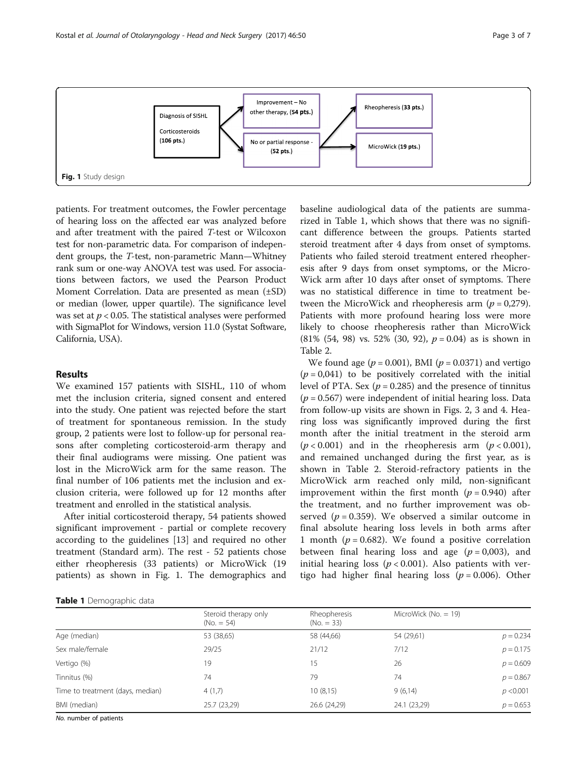

patients. For treatment outcomes, the Fowler percentage of hearing loss on the affected ear was analyzed before and after treatment with the paired T-test or Wilcoxon test for non-parametric data. For comparison of independent groups, the T-test, non-parametric Mann—Whitney rank sum or one-way ANOVA test was used. For associations between factors, we used the Pearson Product Moment Correlation. Data are presented as mean (±SD) or median (lower, upper quartile). The significance level was set at  $p < 0.05$ . The statistical analyses were performed with SigmaPlot for Windows, version 11.0 (Systat Software, California, USA).

## Results

We examined 157 patients with SISHL, 110 of whom met the inclusion criteria, signed consent and entered into the study. One patient was rejected before the start of treatment for spontaneous remission. In the study group, 2 patients were lost to follow-up for personal reasons after completing corticosteroid-arm therapy and their final audiograms were missing. One patient was lost in the MicroWick arm for the same reason. The final number of 106 patients met the inclusion and exclusion criteria, were followed up for 12 months after treatment and enrolled in the statistical analysis.

After initial corticosteroid therapy, 54 patients showed significant improvement - partial or complete recovery according to the guidelines [[13\]](#page-6-0) and required no other treatment (Standard arm). The rest - 52 patients chose either rheopheresis (33 patients) or MicroWick (19 patients) as shown in Fig. 1. The demographics and baseline audiological data of the patients are summarized in Table 1, which shows that there was no significant difference between the groups. Patients started steroid treatment after 4 days from onset of symptoms. Patients who failed steroid treatment entered rheopheresis after 9 days from onset symptoms, or the Micro-Wick arm after 10 days after onset of symptoms. There was no statistical difference in time to treatment between the MicroWick and rheopheresis arm ( $p = 0.279$ ). Patients with more profound hearing loss were more likely to choose rheopheresis rather than MicroWick  $(81\% (54, 98) \text{ vs. } 52\% (30, 92), p = 0.04)$  as is shown in Table [2.](#page-3-0)

We found age  $(p = 0.001)$ , BMI  $(p = 0.0371)$  and vertigo  $(p = 0.041)$  to be positively correlated with the initial level of PTA. Sex ( $p = 0.285$ ) and the presence of tinnitus  $(p = 0.567)$  were independent of initial hearing loss. Data from follow-up visits are shown in Figs. [2,](#page-3-0) [3](#page-4-0) and [4](#page-4-0). Hearing loss was significantly improved during the first month after the initial treatment in the steroid arm  $(p < 0.001)$  and in the rheopheresis arm  $(p < 0.001)$ , and remained unchanged during the first year, as is shown in Table [2.](#page-3-0) Steroid-refractory patients in the MicroWick arm reached only mild, non-significant improvement within the first month  $(p = 0.940)$  after the treatment, and no further improvement was observed ( $p = 0.359$ ). We observed a similar outcome in final absolute hearing loss levels in both arms after 1 month ( $p = 0.682$ ). We found a positive correlation between final hearing loss and age  $(p = 0.003)$ , and initial hearing loss ( $p < 0.001$ ). Also patients with vertigo had higher final hearing loss ( $p = 0.006$ ). Other

|  | Table 1 Demographic data |  |  |
|--|--------------------------|--|--|
|--|--------------------------|--|--|

|                                  | Steroid therapy only<br>$(No. = 54)$ | Rheopheresis<br>$(No. = 33)$ | MicroWick ( $No. = 19$ ) |             |
|----------------------------------|--------------------------------------|------------------------------|--------------------------|-------------|
| Age (median)                     | 53 (38,65)                           | 58 (44,66)                   | 54 (29,61)               | $p = 0.234$ |
| Sex male/female                  | 29/25                                | 21/12                        | 7/12                     | $p = 0.175$ |
| Vertigo (%)                      | 19                                   | 15                           | 26                       | $p = 0.609$ |
| Tinnitus (%)                     | 74                                   | 79                           | 74                       | $p = 0.867$ |
| Time to treatment (days, median) | 4(1,7)                               | 10(8,15)                     | 9(6,14)                  | p < 0.001   |
| BMI (median)                     | 25.7 (23,29)                         | 26.6 (24,29)                 | 24.1 (23,29)             | $p = 0.653$ |

No. number of patients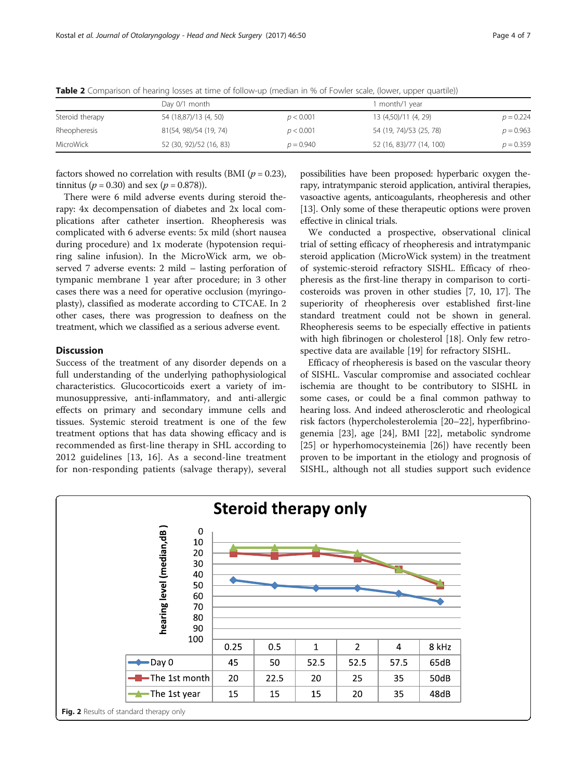|                  | Day 0/1 month           |             |                          | month/1 year |  |
|------------------|-------------------------|-------------|--------------------------|--------------|--|
| Steroid therapy  | 54 (18,87)/13 (4, 50)   | p < 0.001   | 13 (4,50)/11 (4, 29)     | $p = 0.224$  |  |
| Rheopheresis     | 81(54, 98)/54 (19, 74)  | p < 0.001   | 54 (19, 74)/53 (25, 78)  | $p = 0.963$  |  |
| <b>MicroWick</b> | 52 (30, 92)/52 (16, 83) | $p = 0.940$ | 52 (16, 83)/77 (14, 100) | $p = 0.359$  |  |

<span id="page-3-0"></span>Table 2 Comparison of hearing losses at time of follow-up (median in % of Fowler scale, (lower, upper quartile))

factors showed no correlation with results (BMI ( $p = 0.23$ ), tinnitus ( $p = 0.30$ ) and sex ( $p = 0.878$ )).

There were 6 mild adverse events during steroid therapy: 4x decompensation of diabetes and 2x local complications after catheter insertion. Rheopheresis was complicated with 6 adverse events: 5x mild (short nausea during procedure) and 1x moderate (hypotension requiring saline infusion). In the MicroWick arm, we observed 7 adverse events: 2 mild – lasting perforation of tympanic membrane 1 year after procedure; in 3 other cases there was a need for operative occlusion (myringoplasty), classified as moderate according to CTCAE. In 2 other cases, there was progression to deafness on the treatment, which we classified as a serious adverse event.

## **Discussion**

Success of the treatment of any disorder depends on a full understanding of the underlying pathophysiological characteristics. Glucocorticoids exert a variety of immunosuppressive, anti-inflammatory, and anti-allergic effects on primary and secondary immune cells and tissues. Systemic steroid treatment is one of the few treatment options that has data showing efficacy and is recommended as first-line therapy in SHL according to 2012 guidelines [\[13](#page-6-0), [16\]](#page-6-0). As a second-line treatment for non-responding patients (salvage therapy), several

possibilities have been proposed: hyperbaric oxygen therapy, intratympanic steroid application, antiviral therapies, vasoactive agents, anticoagulants, rheopheresis and other [[13](#page-6-0)]. Only some of these therapeutic options were proven effective in clinical trials.

We conducted a prospective, observational clinical trial of setting efficacy of rheopheresis and intratympanic steroid application (MicroWick system) in the treatment of systemic-steroid refractory SISHL. Efficacy of rheopheresis as the first-line therapy in comparison to corticosteroids was proven in other studies [[7, 10, 17\]](#page-6-0). The superiority of rheopheresis over established first-line standard treatment could not be shown in general. Rheopheresis seems to be especially effective in patients with high fibrinogen or cholesterol [[18](#page-6-0)]. Only few retrospective data are available [[19](#page-6-0)] for refractory SISHL.

Efficacy of rheopheresis is based on the vascular theory of SISHL. Vascular compromise and associated cochlear ischemia are thought to be contributory to SISHL in some cases, or could be a final common pathway to hearing loss. And indeed atherosclerotic and rheological risk factors (hypercholesterolemia [\[20](#page-6-0)–[22](#page-6-0)], hyperfibrinogenemia [[23](#page-6-0)], age [[24\]](#page-6-0), BMI [[22\]](#page-6-0), metabolic syndrome [[25\]](#page-6-0) or hyperhomocysteinemia [[26](#page-6-0)]) have recently been proven to be important in the etiology and prognosis of SISHL, although not all studies support such evidence

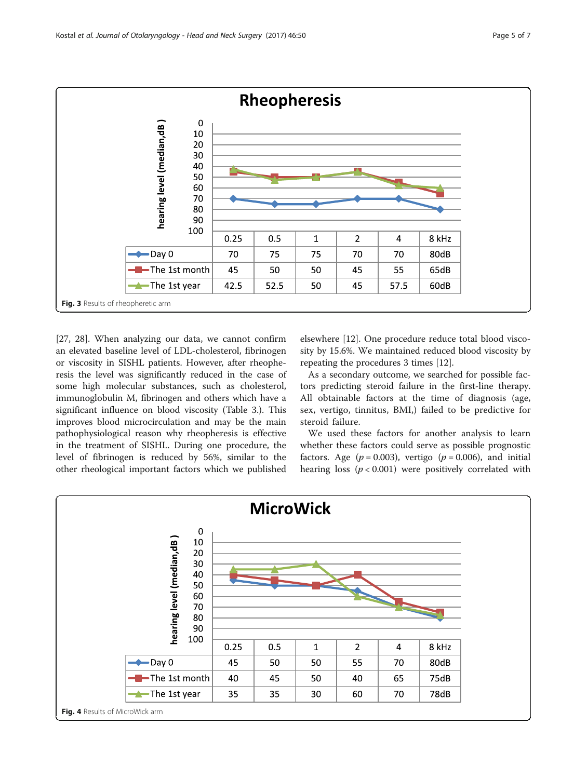<span id="page-4-0"></span>

[[27, 28](#page-6-0)]. When analyzing our data, we cannot confirm an elevated baseline level of LDL-cholesterol, fibrinogen or viscosity in SISHL patients. However, after rheopheresis the level was significantly reduced in the case of some high molecular substances, such as cholesterol, immunoglobulin M, fibrinogen and others which have a significant influence on blood viscosity (Table [3.](#page-5-0)). This improves blood microcirculation and may be the main pathophysiological reason why rheopheresis is effective in the treatment of SISHL. During one procedure, the level of fibrinogen is reduced by 56%, similar to the other rheological important factors which we published

elsewhere [\[12\]](#page-6-0). One procedure reduce total blood viscosity by 15.6%. We maintained reduced blood viscosity by repeating the procedures 3 times [[12](#page-6-0)].

As a secondary outcome, we searched for possible factors predicting steroid failure in the first-line therapy. All obtainable factors at the time of diagnosis (age, sex, vertigo, tinnitus, BMI,) failed to be predictive for steroid failure.

We used these factors for another analysis to learn whether these factors could serve as possible prognostic factors. Age ( $p = 0.003$ ), vertigo ( $p = 0.006$ ), and initial hearing loss  $(p < 0.001)$  were positively correlated with

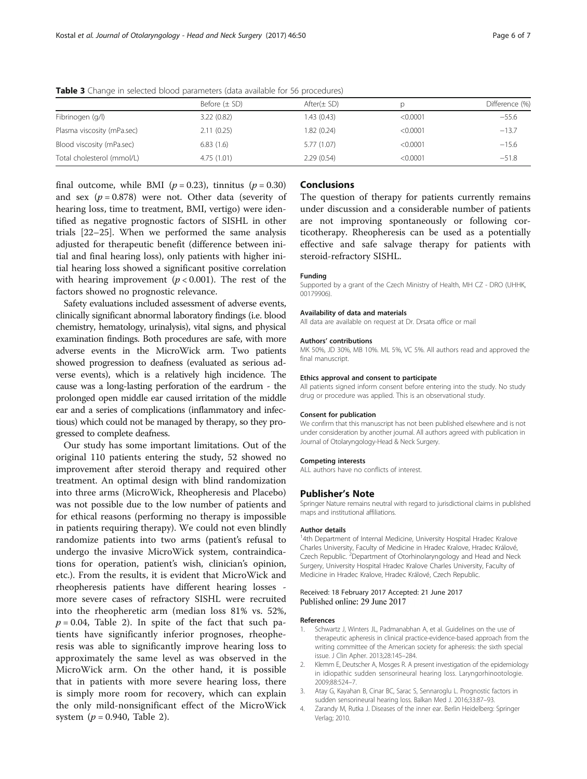|                            | Before $(\pm$ SD) | $After(\pm SD)$ |          | Difference (%) |
|----------------------------|-------------------|-----------------|----------|----------------|
| Fibrinogen (g/l)           | 3.22(0.82)        | 1.43(0.43)      | < 0.0001 | $-55.6$        |
| Plasma viscosity (mPa.sec) | 2.11(0.25)        | 1.82(0.24)      | < 0.0001 | $-13.7$        |
| Blood viscosity (mPa.sec)  | 6.83(1.6)         | 5.77 (1.07)     | < 0.0001 | $-15.6$        |
| Total cholesterol (mmol/L) | 4.75(1.01)        | 2.29(0.54)      | < 0.0001 | $-51.8$        |

<span id="page-5-0"></span>Table 3 Change in selected blood parameters (data available for 56 procedures)

final outcome, while BMI ( $p = 0.23$ ), tinnitus ( $p = 0.30$ ) and sex  $(p = 0.878)$  were not. Other data (severity of hearing loss, time to treatment, BMI, vertigo) were identified as negative prognostic factors of SISHL in other trials [\[22](#page-6-0)–[25\]](#page-6-0). When we performed the same analysis adjusted for therapeutic benefit (difference between initial and final hearing loss), only patients with higher initial hearing loss showed a significant positive correlation with hearing improvement ( $p < 0.001$ ). The rest of the factors showed no prognostic relevance.

Safety evaluations included assessment of adverse events, clinically significant abnormal laboratory findings (i.e. blood chemistry, hematology, urinalysis), vital signs, and physical examination findings. Both procedures are safe, with more adverse events in the MicroWick arm. Two patients showed progression to deafness (evaluated as serious adverse events), which is a relatively high incidence. The cause was a long-lasting perforation of the eardrum - the prolonged open middle ear caused irritation of the middle ear and a series of complications (inflammatory and infectious) which could not be managed by therapy, so they progressed to complete deafness.

Our study has some important limitations. Out of the original 110 patients entering the study, 52 showed no improvement after steroid therapy and required other treatment. An optimal design with blind randomization into three arms (MicroWick, Rheopheresis and Placebo) was not possible due to the low number of patients and for ethical reasons (performing no therapy is impossible in patients requiring therapy). We could not even blindly randomize patients into two arms (patient's refusal to undergo the invasive MicroWick system, contraindications for operation, patient's wish, clinician's opinion, etc.). From the results, it is evident that MicroWick and rheopheresis patients have different hearing losses more severe cases of refractory SISHL were recruited into the rheopheretic arm (median loss 81% vs. 52%,  $p = 0.04$ , Table [2\)](#page-3-0). In spite of the fact that such patients have significantly inferior prognoses, rheopheresis was able to significantly improve hearing loss to approximately the same level as was observed in the MicroWick arm. On the other hand, it is possible that in patients with more severe hearing loss, there is simply more room for recovery, which can explain the only mild-nonsignificant effect of the MicroWick system ( $p = 0.940$ , Table [2](#page-3-0)).

## Conclusions

The question of therapy for patients currently remains under discussion and a considerable number of patients are not improving spontaneously or following corticotherapy. Rheopheresis can be used as a potentially effective and safe salvage therapy for patients with steroid-refractory SISHL.

#### Funding

Supported by a grant of the Czech Ministry of Health, MH CZ - DRO (UHHK, 00179906).

#### Availability of data and materials

All data are available on request at Dr. Drsata office or mail

#### Authors' contributions

MK 50%, JD 30%, MB 10%. ML 5%, VC 5%. All authors read and approved the final manuscript.

#### Ethics approval and consent to participate

All patients signed inform consent before entering into the study. No study drug or procedure was applied. This is an observational study.

#### Consent for publication

We confirm that this manuscript has not been published elsewhere and is not under consideration by another journal. All authors agreed with publication in Journal of Otolaryngology-Head & Neck Surgery.

#### Competing interests

ALL authors have no conflicts of interest.

#### Publisher's Note

Springer Nature remains neutral with regard to jurisdictional claims in published maps and institutional affiliations.

#### Author details

<sup>1</sup>4th Department of Internal Medicine, University Hospital Hradec Kralove Charles University, Faculty of Medicine in Hradec Kralove, Hradec Králové, Czech Republic.<sup>2</sup> Department of Otorhinolaryngology and Head and Neck Surgery, University Hospital Hradec Kralove Charles University, Faculty of Medicine in Hradec Kralove, Hradec Králové, Czech Republic.

#### Received: 18 February 2017 Accepted: 21 June 2017 Published online: 29 June 2017

#### References

- 1. Schwartz J, Winters JL, Padmanabhan A, et al. Guidelines on the use of therapeutic apheresis in clinical practice-evidence-based approach from the writing committee of the American society for apheresis: the sixth special issue. J Clin Apher. 2013;28:145–284.
- 2. Klemm E, Deutscher A, Mosges R. A present investigation of the epidemiology in idiopathic sudden sensorineural hearing loss. Laryngorhinootologie. 2009;88:524–7.
- 3. Atay G, Kayahan B, Cinar BC, Sarac S, Sennaroglu L. Prognostic factors in sudden sensorineural hearing loss. Balkan Med J. 2016;33:87–93.
- 4. Zarandy M, Rutka J. Diseases of the inner ear. Berlin Heidelberg: Springer Verlag; 2010.